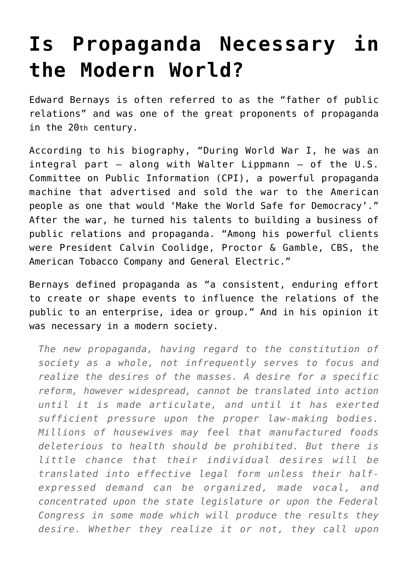## **[Is Propaganda Necessary in](https://intellectualtakeout.org/2016/04/is-propaganda-necessary-in-the-modern-world/) [the Modern World?](https://intellectualtakeout.org/2016/04/is-propaganda-necessary-in-the-modern-world/)**

Edward Bernays is often referred to as the "father of public relations" and was one of the great proponents of propaganda in the 20th century.

According to his biography, "During World War I, he was an integral part – along with Walter Lippmann – of the U.S. Committee on Public Information (CPI), a powerful propaganda machine that advertised and sold the war to the American people as one that would 'Make the World Safe for Democracy'." After the war, he turned his talents to building a business of public relations and propaganda. "Among his powerful clients were President Calvin Coolidge, Proctor & Gamble, CBS, the American Tobacco Company and General Electric."

Bernays defined propaganda as "a consistent, enduring effort to create or shape events to influence the relations of the public to an enterprise, idea or group." And in his opinion it was necessary in a modern society.

*The new propaganda, having regard to the constitution of society as a whole, not infrequently serves to focus and realize the desires of the masses. A desire for a specific reform, however widespread, cannot be translated into action until it is made articulate, and until it has exerted sufficient pressure upon the proper law-making bodies. Millions of housewives may feel that manufactured foods deleterious to health should be prohibited. But there is little chance that their individual desires will be translated into effective legal form unless their halfexpressed demand can be organized, made vocal, and concentrated upon the state legislature or upon the Federal Congress in some mode which will produce the results they desire. Whether they realize it or not, they call upon*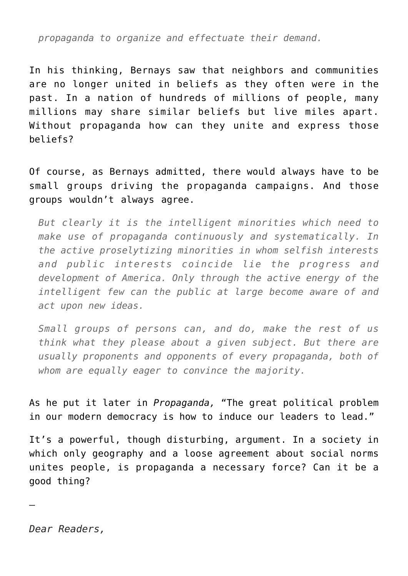*propaganda to organize and effectuate their demand.*

In his thinking, Bernays saw that neighbors and communities are no longer united in beliefs as they often were in the past. In a nation of hundreds of millions of people, many millions may share similar beliefs but live miles apart. Without propaganda how can they unite and express those beliefs?

Of course, as Bernays admitted, there would always have to be small groups driving the propaganda campaigns. And those groups wouldn't always agree.

*But clearly it is the intelligent minorities which need to make use of propaganda continuously and systematically. In the active proselytizing minorities in whom selfish interests and public interests coincide lie the progress and development of America. Only through the active energy of the intelligent few can the public at large become aware of and act upon new ideas.*

*Small groups of persons can, and do, make the rest of us think what they please about a given subject. But there are usually proponents and opponents of every propaganda, both of whom are equally eager to convince the majority.*

As he put it later in *Propaganda,* "The great political problem in our modern democracy is how to induce our leaders to lead."

It's a powerful, though disturbing, argument. In a society in which only geography and a loose agreement about social norms unites people, is propaganda a necessary force? Can it be a good thing?

—

*Dear Readers,*